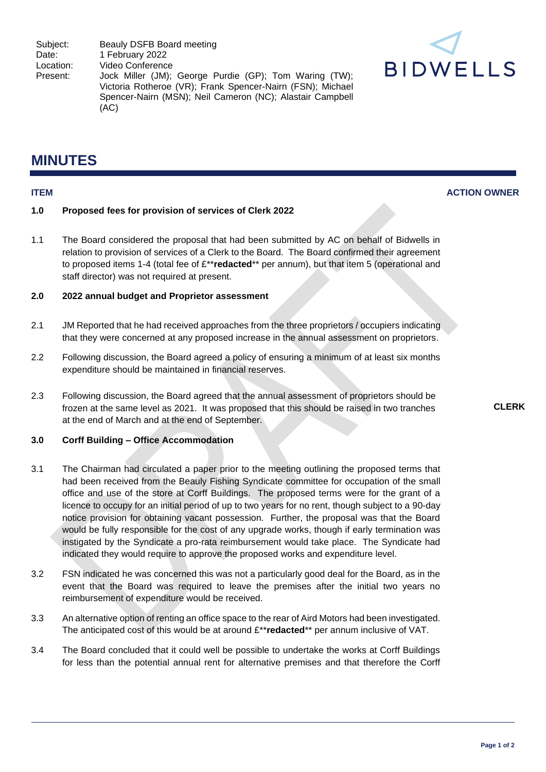Subject: Beauly DSFB Board meeting Date: 1 February 2022<br>
Location: Video Conferenc Location: Video Conference<br>Present: Jock Miller (JM) Jock Miller (JM); George Purdie (GP); Tom Waring (TW); Victoria Rotheroe (VR); Frank Spencer-Nairn (FSN); Michael Spencer-Nairn (MSN); Neil Cameron (NC); Alastair Campbell (AC)



# **MINUTES**

## **ITEM ACTION OWNER**

### **1.0 Proposed fees for provision of services of Clerk 2022**

1.1 The Board considered the proposal that had been submitted by AC on behalf of Bidwells in relation to provision of services of a Clerk to the Board. The Board confirmed their agreement to proposed items 1-4 (total fee of £\*\***redacted**\*\* per annum), but that item 5 (operational and staff director) was not required at present.

#### **2.0 2022 annual budget and Proprietor assessment**

- 2.1 JM Reported that he had received approaches from the three proprietors / occupiers indicating that they were concerned at any proposed increase in the annual assessment on proprietors.
- 2.2 Following discussion, the Board agreed a policy of ensuring a minimum of at least six months expenditure should be maintained in financial reserves.
- 2.3 Following discussion, the Board agreed that the annual assessment of proprietors should be frozen at the same level as 2021. It was proposed that this should be raised in two tranches at the end of March and at the end of September.

### **3.0 Corff Building – Office Accommodation**

- 3.1 The Chairman had circulated a paper prior to the meeting outlining the proposed terms that had been received from the Beauly Fishing Syndicate committee for occupation of the small office and use of the store at Corff Buildings. The proposed terms were for the grant of a licence to occupy for an initial period of up to two years for no rent, though subject to a 90-day notice provision for obtaining vacant possession. Further, the proposal was that the Board would be fully responsible for the cost of any upgrade works, though if early termination was instigated by the Syndicate a pro-rata reimbursement would take place. The Syndicate had indicated they would require to approve the proposed works and expenditure level.
- 3.2 FSN indicated he was concerned this was not a particularly good deal for the Board, as in the event that the Board was required to leave the premises after the initial two years no reimbursement of expenditure would be received.
- 3.3 An alternative option of renting an office space to the rear of Aird Motors had been investigated. The anticipated cost of this would be at around £\*\***redacted**\*\* per annum inclusive of VAT.
- 3.4 The Board concluded that it could well be possible to undertake the works at Corff Buildings for less than the potential annual rent for alternative premises and that therefore the Corff

**CLERK**